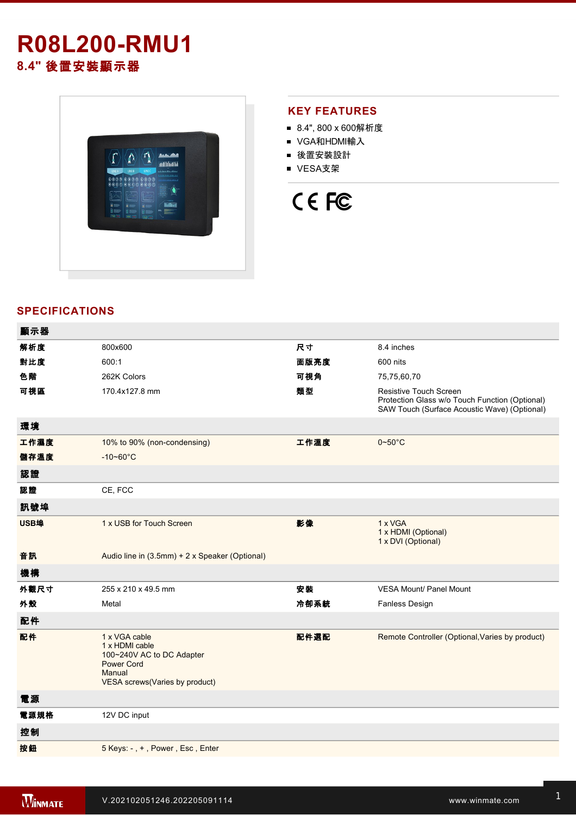# **R08L200RMU1 8.4"** 後置安裝顯示器



### **KEY FEATURES**

- 8.4", 800 x 600解析度
- VGA和HDMI輸入
- 後置安裝設計
- VESA支架



## **SPECIFICATIONS**

| 顯示器  |                                                                                                                               |      |                                                                                                                                 |
|------|-------------------------------------------------------------------------------------------------------------------------------|------|---------------------------------------------------------------------------------------------------------------------------------|
| 解析度  | 800x600                                                                                                                       | 尺寸   | 8.4 inches                                                                                                                      |
| 對比度  | 600:1                                                                                                                         | 面版亮度 | 600 nits                                                                                                                        |
| 色階   | 262K Colors                                                                                                                   | 可視角  | 75,75,60,70                                                                                                                     |
| 可視區  | 170.4x127.8 mm                                                                                                                | 類型   | <b>Resistive Touch Screen</b><br>Protection Glass w/o Touch Function (Optional)<br>SAW Touch (Surface Acoustic Wave) (Optional) |
| 環境   |                                                                                                                               |      |                                                                                                                                 |
| 工作濕度 | 10% to 90% (non-condensing)                                                                                                   | 工作溫度 | $0 - 50$ °C                                                                                                                     |
| 儲存溫度 | $-10 - 60^{\circ}$ C                                                                                                          |      |                                                                                                                                 |
| 認證   |                                                                                                                               |      |                                                                                                                                 |
| 認證   | CE, FCC                                                                                                                       |      |                                                                                                                                 |
| 訊號埠  |                                                                                                                               |      |                                                                                                                                 |
| USB埠 | 1 x USB for Touch Screen                                                                                                      | 影像   | 1 x VGA<br>1 x HDMI (Optional)<br>1 x DVI (Optional)                                                                            |
| 音訊   | Audio line in (3.5mm) + 2 x Speaker (Optional)                                                                                |      |                                                                                                                                 |
| 機構   |                                                                                                                               |      |                                                                                                                                 |
| 外觀尺寸 | 255 x 210 x 49.5 mm                                                                                                           | 安装   | <b>VESA Mount/ Panel Mount</b>                                                                                                  |
| 外殼   | Metal                                                                                                                         | 冷卻系統 | Fanless Design                                                                                                                  |
| 配件   |                                                                                                                               |      |                                                                                                                                 |
| 配件   | 1 x VGA cable<br>1 x HDMI cable<br>100~240V AC to DC Adapter<br><b>Power Cord</b><br>Manual<br>VESA screws(Varies by product) | 配件選配 | Remote Controller (Optional, Varies by product)                                                                                 |
| 電源   |                                                                                                                               |      |                                                                                                                                 |
| 電源規格 | 12V DC input                                                                                                                  |      |                                                                                                                                 |
| 控制   |                                                                                                                               |      |                                                                                                                                 |
| 按鈕   | 5 Keys: -, +, Power, Esc, Enter                                                                                               |      |                                                                                                                                 |
|      |                                                                                                                               |      |                                                                                                                                 |

**DIMENSIONS**  UNIT:MM